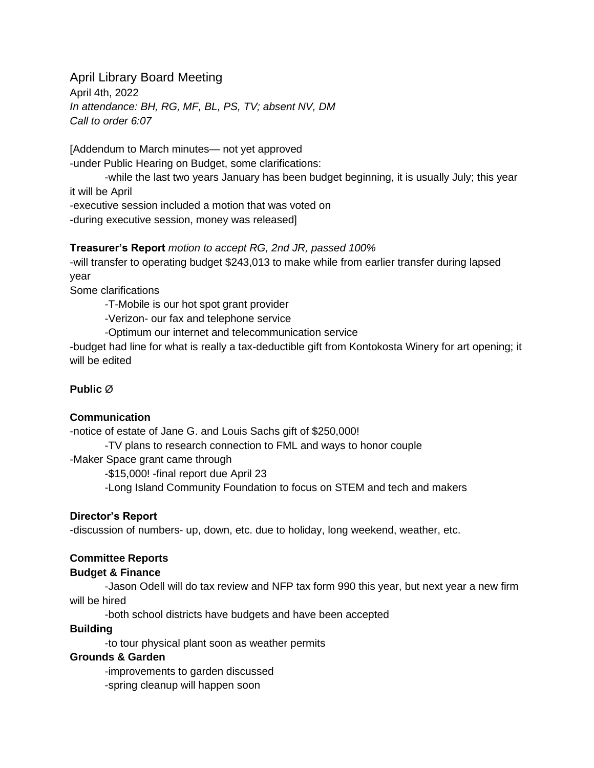April Library Board Meeting April 4th, 2022 *In attendance: BH, RG, MF, BL, PS, TV; absent NV, DM Call to order 6:07*

[Addendum to March minutes— not yet approved -under Public Hearing on Budget, some clarifications:

-while the last two years January has been budget beginning, it is usually July; this year it will be April -executive session included a motion that was voted on -during executive session, money was released]

### **Treasurer's Report** *motion to accept RG, 2nd JR, passed 100%*

-will transfer to operating budget \$243,013 to make while from earlier transfer during lapsed year

Some clarifications

-T-Mobile is our hot spot grant provider

-Verizon- our fax and telephone service

-Optimum our internet and telecommunication service

-budget had line for what is really a tax-deductible gift from Kontokosta Winery for art opening; it will be edited

### **Public** Ø

#### **Communication**

-notice of estate of Jane G. and Louis Sachs gift of \$250,000!

-TV plans to research connection to FML and ways to honor couple

-Maker Space grant came through

-\$15,000! -final report due April 23

-Long Island Community Foundation to focus on STEM and tech and makers

## **Director's Report**

-discussion of numbers- up, down, etc. due to holiday, long weekend, weather, etc.

# **Committee Reports**

## **Budget & Finance**

-Jason Odell will do tax review and NFP tax form 990 this year, but next year a new firm will be hired

-both school districts have budgets and have been accepted

#### **Building**

-to tour physical plant soon as weather permits

#### **Grounds & Garden**

-improvements to garden discussed -spring cleanup will happen soon